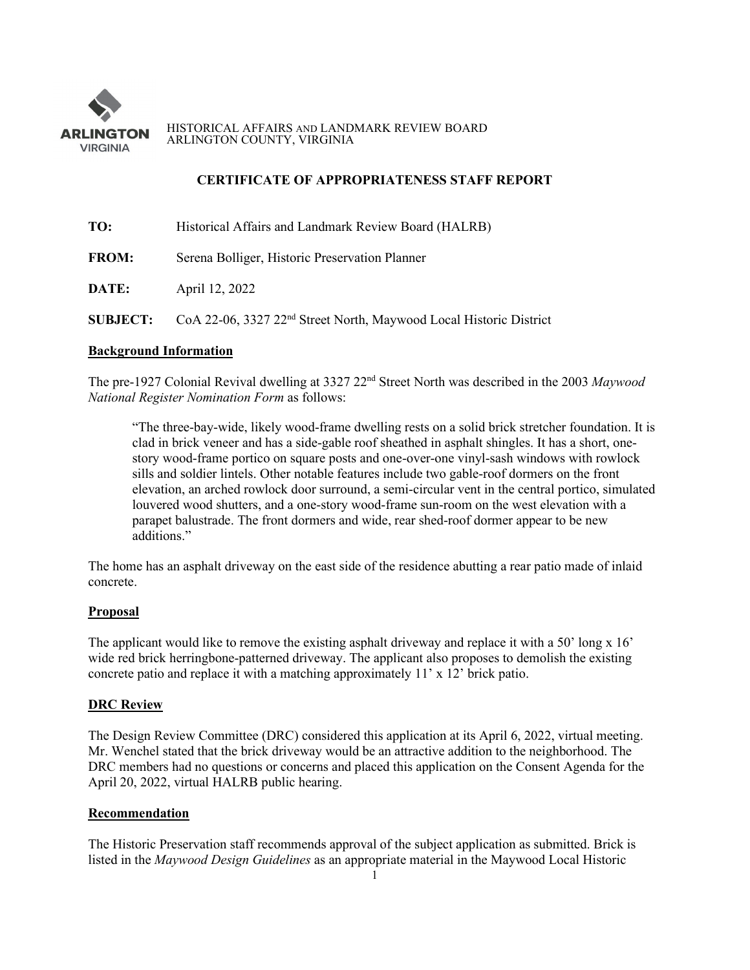

HISTORICAL AFFAIRS AND LANDMARK REVIEW BOARD ARLINGTON COUNTY, VIRGINIA

## **CERTIFICATE OF APPROPRIATENESS STAFF REPORT**

| TO:          | Historical Affairs and Landmark Review Board (HALRB)                                           |
|--------------|------------------------------------------------------------------------------------------------|
| <b>FROM:</b> | Serena Bolliger, Historic Preservation Planner                                                 |
| DATE:        | April 12, 2022                                                                                 |
|              | <b>SUBJECT:</b> CoA 22-06, 3327 22 <sup>nd</sup> Street North, Maywood Local Historic District |

# **Background Information**

The pre-1927 Colonial Revival dwelling at 3327 22nd Street North was described in the 2003 *Maywood National Register Nomination Form* as follows:

"The three-bay-wide, likely wood-frame dwelling rests on a solid brick stretcher foundation. It is clad in brick veneer and has a side-gable roof sheathed in asphalt shingles. It has a short, onestory wood-frame portico on square posts and one-over-one vinyl-sash windows with rowlock sills and soldier lintels. Other notable features include two gable-roof dormers on the front elevation, an arched rowlock door surround, a semi-circular vent in the central portico, simulated louvered wood shutters, and a one-story wood-frame sun-room on the west elevation with a parapet balustrade. The front dormers and wide, rear shed-roof dormer appear to be new additions."

The home has an asphalt driveway on the east side of the residence abutting a rear patio made of inlaid concrete.

#### **Proposal**

The applicant would like to remove the existing asphalt driveway and replace it with a 50' long x 16' wide red brick herringbone-patterned driveway. The applicant also proposes to demolish the existing concrete patio and replace it with a matching approximately 11' x 12' brick patio.

## **DRC Review**

The Design Review Committee (DRC) considered this application at its April 6, 2022, virtual meeting. Mr. Wenchel stated that the brick driveway would be an attractive addition to the neighborhood. The DRC members had no questions or concerns and placed this application on the Consent Agenda for the April 20, 2022, virtual HALRB public hearing.

### **Recommendation**

The Historic Preservation staff recommends approval of the subject application as submitted. Brick is listed in the *Maywood Design Guidelines* as an appropriate material in the Maywood Local Historic